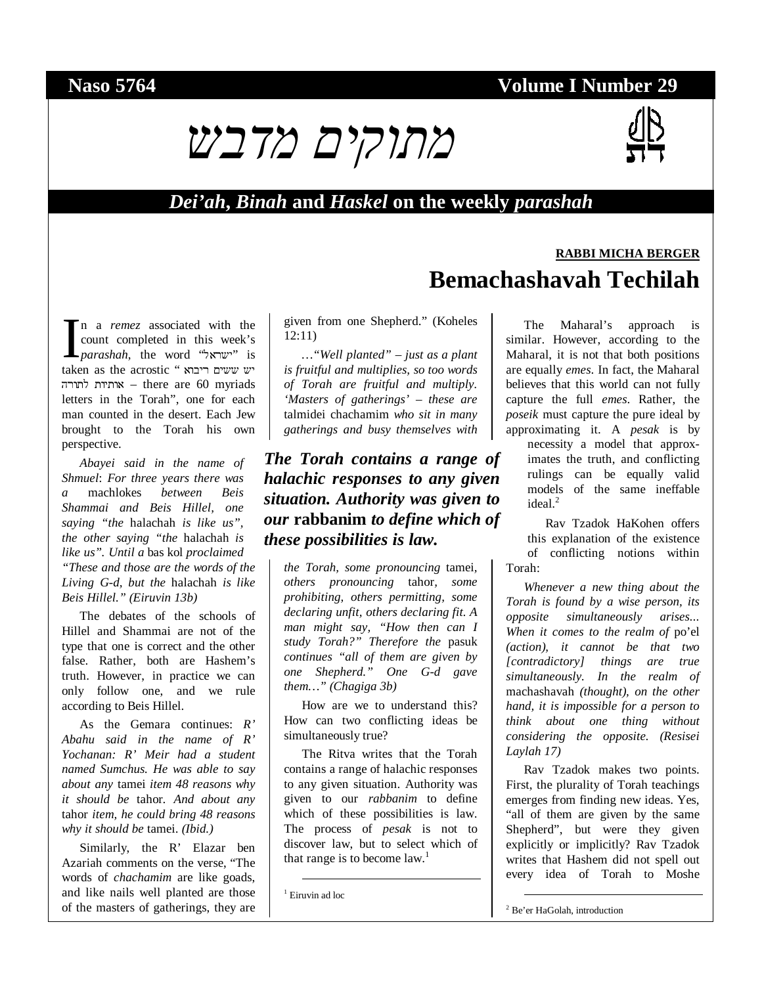# **Naso 5764 Volume I Number 29**

# מתוקים מדבש



# *Dei'ah***,** *Binah* **and** *Haskel* **on the weekly** *parashah*

n a *remez* associated with the count completed in this week's *parashah*, the word "ישראל"<sup>.</sup> is taken as the acrostic " ריבוא ששים יש לתורה אותיות – there are 60 myriads letters in the Torah", one for each man counted in the desert. Each Jew brought to the Torah his own perspective.  $\prod_{\text{fake}}$ 

*Abayei said in the name of Shmuel*: *For three years there was a* machlokes *between Beis Shammai and Beis Hillel, one saying "the* halachah *is like us", the other saying "the* halachah *is like us". Until a* bas kol *proclaimed "These and those are the words of the Living G-d, but the* halachah *is like Beis Hillel." (Eiruvin 13b)*

The debates of the schools of Hillel and Shammai are not of the type that one is correct and the other false. Rather, both are Hashem's truth. However, in practice we can only follow one, and we rule according to Beis Hillel.

As the Gemara continues: *R' Abahu said in the name of R' Yochanan: R' Meir had a student named Sumchus. He was able to say about any* tamei *item 48 reasons why it should be* tahor*. And about any*  tahor *item, he could bring 48 reasons why it should be* tamei. *(Ibid.)* 

Similarly, the R' Elazar ben Azariah comments on the verse, "The words of *chachamim* are like goads, and like nails well planted are those of the masters of gatherings, they are given from one Shepherd." (Koheles 12:11)

*…"Well planted" – just as a plant is fruitful and multiplies, so too words of Torah are fruitful and multiply. 'Masters of gatherings' – these are*  talmidei chachamim *who sit in many gatherings and busy themselves with* 

### *The Torah contains a range of halachic responses to any given situation. Authority was given to our* **rabbanim** *to define which of these possibilities is law.*

*the Torah, some pronouncing* tamei*, others pronouncing* tahor*, some prohibiting, others permitting, some declaring unfit, others declaring fit. A man might say, "How then can I study Torah?" Therefore the* pasuk *continues "all of them are given by one Shepherd." One G-d gave them…" (Chagiga 3b)* 

How are we to understand this? How can two conflicting ideas be simultaneously true?

The Ritva writes that the Torah contains a range of halachic responses to any given situation. Authority was given to our *rabbanim* to define which of these possibilities is law. The process of *pesak* is not to discover law, but to select which of that range is to become  $law<sup>1</sup>$ .

1 Eiruvin ad loc

# **RABBI MICHA BERGER Bemachashavah Techilah**

The Maharal's approach is similar. However, according to the Maharal, it is not that both positions are equally *emes*. In fact, the Maharal believes that this world can not fully capture the full *emes*. Rather, the *poseik* must capture the pure ideal by approximating it. A *pesak* is by

necessity a model that approximates the truth, and conflicting rulings can be equally valid models of the same ineffable  $ideal<sup>2</sup>$ 

Rav Tzadok HaKohen offers this explanation of the existence of conflicting notions within Torah:

*Whenever a new thing about the Torah is found by a wise person, its opposite simultaneously arises... When it comes to the realm of* po'el *(action), it cannot be that two [contradictory] things are true simultaneously. In the realm of*  machashavah *(thought), on the other hand, it is impossible for a person to think about one thing without considering the opposite. (Resisei Laylah 17)*

Rav Tzadok makes two points. First, the plurality of Torah teachings emerges from finding new ideas. Yes, "all of them are given by the same Shepherd", but were they given explicitly or implicitly? Rav Tzadok writes that Hashem did not spell out every idea of Torah to Moshe

2 Be'er HaGolah, introduction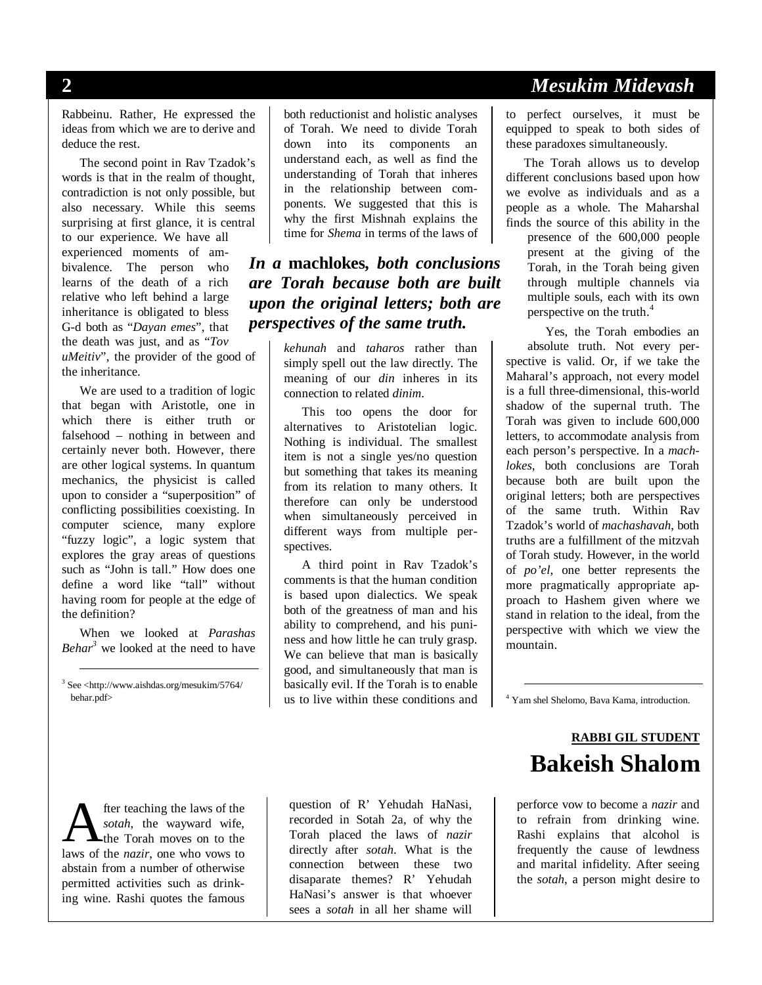Rabbeinu. Rather, He expressed the ideas from which we are to derive and deduce the rest.

The second point in Rav Tzadok's words is that in the realm of thought, contradiction is not only possible, but also necessary. While this seems surprising at first glance, it is central to our experience. We have all experienced moments of ambivalence. The person who learns of the death of a rich relative who left behind a large inheritance is obligated to bless G-d both as "*Dayan emes*", that the death was just, and as "*Tov uMeitiv*", the provider of the good of the inheritance.

We are used to a tradition of logic that began with Aristotle, one in which there is either truth or falsehood – nothing in between and certainly never both. However, there are other logical systems. In quantum mechanics, the physicist is called upon to consider a "superposition" of conflicting possibilities coexisting. In computer science, many explore "fuzzy logic", a logic system that explores the gray areas of questions such as "John is tall." How does one define a word like "tall" without having room for people at the edge of the definition?

When we looked at *Parashas Behar3* we looked at the need to have

 3 See <http://www.aishdas.org/mesukim/5764/ behar.pdf>

both reductionist and holistic analyses of Torah. We need to divide Torah down into its components an understand each, as well as find the understanding of Torah that inheres in the relationship between components. We suggested that this is why the first Mishnah explains the time for *Shema* in terms of the laws of

#### *In a* **machlokes***, both conclusions are Torah because both are built upon the original letters; both are perspectives of the same truth.*

*kehunah* and *taharos* rather than simply spell out the law directly. The meaning of our *din* inheres in its connection to related *dinim*.

This too opens the door for alternatives to Aristotelian logic. Nothing is individual. The smallest item is not a single yes/no question but something that takes its meaning from its relation to many others. It therefore can only be understood when simultaneously perceived in different ways from multiple perspectives.

A third point in Rav Tzadok's comments is that the human condition is based upon dialectics. We speak both of the greatness of man and his ability to comprehend, and his puniness and how little he can truly grasp. We can believe that man is basically good, and simultaneously that man is basically evil. If the Torah is to enable us to live within these conditions and

**2** *Mesukim Midevash* 

to perfect ourselves, it must be equipped to speak to both sides of these paradoxes simultaneously.

The Torah allows us to develop different conclusions based upon how we evolve as individuals and as a people as a whole. The Maharshal finds the source of this ability in the

> presence of the 600,000 people present at the giving of the Torah, in the Torah being given through multiple channels via multiple souls, each with its own perspective on the truth. $4$

Yes, the Torah embodies an absolute truth. Not every perspective is valid. Or, if we take the Maharal's approach, not every model is a full three-dimensional, this-world shadow of the supernal truth. The Torah was given to include 600,000 letters, to accommodate analysis from each person's perspective. In a *machlokes*, both conclusions are Torah because both are built upon the original letters; both are perspectives of the same truth. Within Rav Tzadok's world of *machashavah*, both truths are a fulfillment of the mitzvah of Torah study. However, in the world of *po'el*, one better represents the more pragmatically appropriate approach to Hashem given where we stand in relation to the ideal, from the perspective with which we view the mountain.

4 Yam shel Shelomo, Bava Kama, introduction.

# **RABBI GIL STUDENT Bakeish Shalom**

perforce vow to become a *nazir* and to refrain from drinking wine. Rashi explains that alcohol is frequently the cause of lewdness and marital infidelity. After seeing the *sotah*, a person might desire to

fter teaching the laws of the *sotah*, the wayward wife, the Torah moves on to the **A** fter teaching the laws of the *sotah*, the wayward wife, the Torah moves on to the laws of the *nazir*, one who vows to abstain from a number of otherwise permitted activities such as drinking wine. Rashi quotes the famous

question of R' Yehudah HaNasi, recorded in Sotah 2a, of why the Torah placed the laws of *nazir* directly after *sotah*. What is the connection between these two disaparate themes? R' Yehudah HaNasi's answer is that whoever sees a *sotah* in all her shame will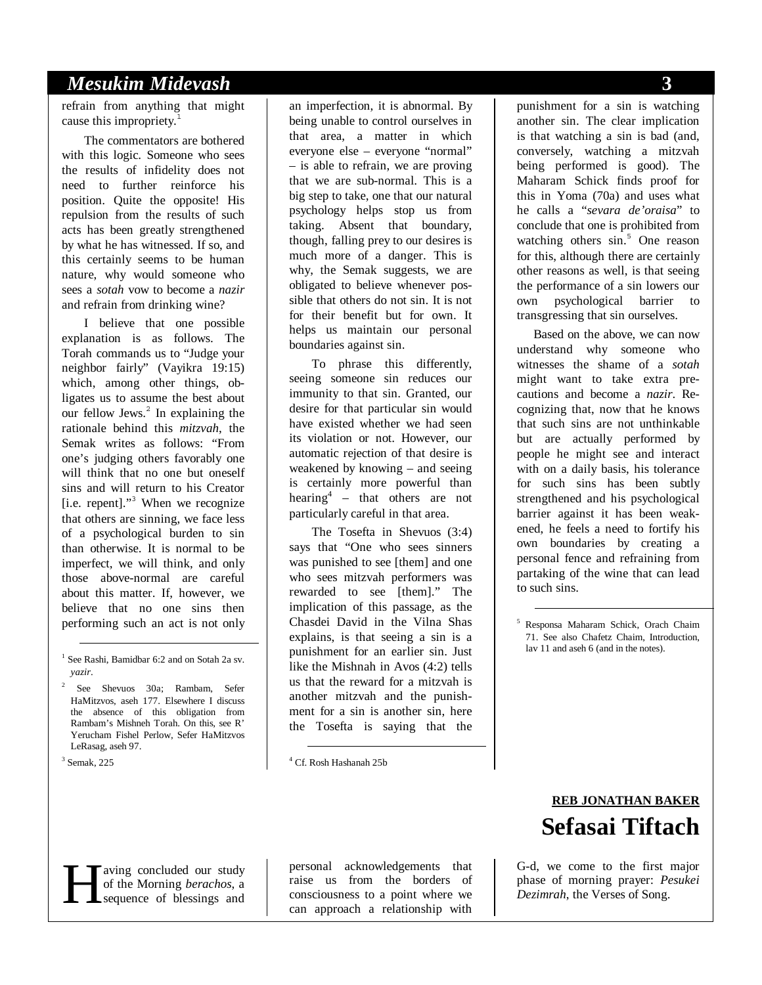# *Mesukim Midevash* **3**

refrain from anything that might cause this impropriety.<sup>1</sup>

The commentators are bothered with this logic. Someone who sees the results of infidelity does not need to further reinforce his position. Quite the opposite! His repulsion from the results of such acts has been greatly strengthened by what he has witnessed. If so, and this certainly seems to be human nature, why would someone who sees a *sotah* vow to become a *nazir* and refrain from drinking wine?

I believe that one possible explanation is as follows. The Torah commands us to "Judge your neighbor fairly" (Vayikra 19:15) which, among other things, obligates us to assume the best about our fellow Jews.<sup>2</sup> In explaining the rationale behind this *mitzvah*, the Semak writes as follows: "From one's judging others favorably one will think that no one but oneself sins and will return to his Creator [i.e. repent]."<sup>3</sup> When we recognize that others are sinning, we face less of a psychological burden to sin than otherwise. It is normal to be imperfect, we will think, and only those above-normal are careful about this matter. If, however, we believe that no one sins then performing such an act is not only

3 Semak, 225

an imperfection, it is abnormal. By being unable to control ourselves in that area, a matter in which everyone else – everyone "normal" – is able to refrain, we are proving that we are sub-normal. This is a big step to take, one that our natural psychology helps stop us from taking. Absent that boundary, though, falling prey to our desires is much more of a danger. This is why, the Semak suggests, we are obligated to believe whenever possible that others do not sin. It is not for their benefit but for own. It helps us maintain our personal boundaries against sin.

To phrase this differently, seeing someone sin reduces our immunity to that sin. Granted, our desire for that particular sin would have existed whether we had seen its violation or not. However, our automatic rejection of that desire is weakened by knowing – and seeing is certainly more powerful than hearing<sup>4</sup> – that others are not particularly careful in that area.

The Tosefta in Shevuos (3:4) says that "One who sees sinners was punished to see [them] and one who sees mitzvah performers was rewarded to see [them]." The implication of this passage, as the Chasdei David in the Vilna Shas explains, is that seeing a sin is a punishment for an earlier sin. Just like the Mishnah in Avos (4:2) tells us that the reward for a mitzvah is another mitzvah and the punishment for a sin is another sin, here the Tosefta is saying that the

4 Cf. Rosh Hashanah 25b

punishment for a sin is watching another sin. The clear implication is that watching a sin is bad (and, conversely, watching a mitzvah being performed is good). The Maharam Schick finds proof for this in Yoma (70a) and uses what he calls a "*sevara de'oraisa*" to conclude that one is prohibited from watching others sin.<sup>5</sup> One reason for this, although there are certainly other reasons as well, is that seeing the performance of a sin lowers our own psychological barrier to transgressing that sin ourselves.

Based on the above, we can now understand why someone who witnesses the shame of a *sotah* might want to take extra precautions and become a *nazir*. Recognizing that, now that he knows that such sins are not unthinkable but are actually performed by people he might see and interact with on a daily basis, his tolerance for such sins has been subtly strengthened and his psychological barrier against it has been weakened, he feels a need to fortify his own boundaries by creating a personal fence and refraining from partaking of the wine that can lead to such sins.

 5 Responsa Maharam Schick, Orach Chaim 71. See also Chafetz Chaim, Introduction, lav 11 and aseh 6 (and in the notes).

# **REB JONATHAN BAKER Sefasai Tiftach**

G-d, we come to the first major

aving concluded our study of the Morning *berachos*, a sequence of blessings and

personal acknowledgements that raise us from the borders of consciousness to a point where we can approach a relationship with **Fermion Constrained** Sequence of blessings and acknowledgements that sequence of blessings and and  $\begin{array}{c|c} \text{using } \text{because} & \text{if } \text{otherwise} \text{ and } \text{otherwise} \end{array}$  a relationship with  $\begin{array}{c|c} \text{Given } \text{otherwise} \end{array}$  a relationship with  $\begin{array}{c$ 

 <sup>1</sup> See Rashi, Bamidbar 6:2 and on Sotah 2a sv. *yazir*.

<sup>2</sup> See Shevuos 30a; Rambam, Sefer HaMitzvos, aseh 177. Elsewhere I discuss the absence of this obligation from Rambam's Mishneh Torah. On this, see R' Yerucham Fishel Perlow, Sefer HaMitzvos LeRasag, aseh 97.